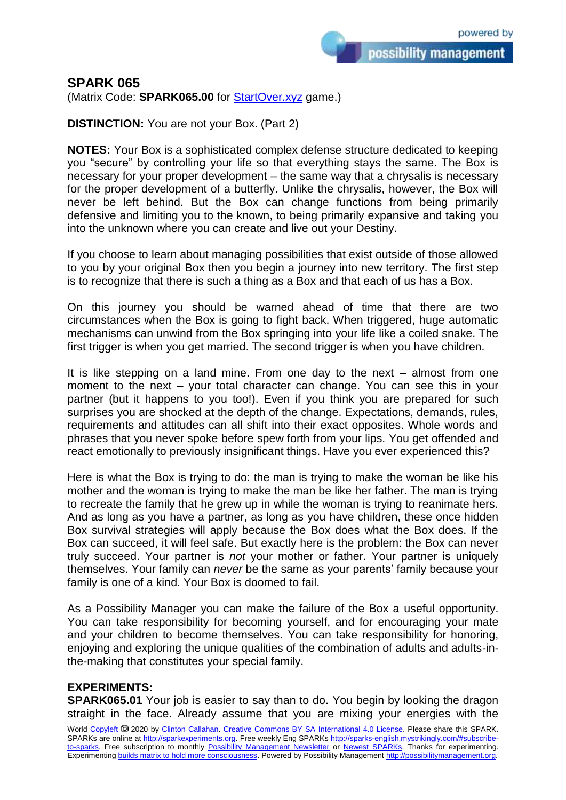possibility management

## **SPARK 065**

(Matrix Code: **SPARK065.00** for [StartOver.xyz](https://startoverxyz.mystrikingly.com/) game.)

**DISTINCTION:** You are not your Box. (Part 2)

**NOTES:** Your Box is a sophisticated complex defense structure dedicated to keeping you "secure" by controlling your life so that everything stays the same. The Box is necessary for your proper development – the same way that a chrysalis is necessary for the proper development of a butterfly. Unlike the chrysalis, however, the Box will never be left behind. But the Box can change functions from being primarily defensive and limiting you to the known, to being primarily expansive and taking you into the unknown where you can create and live out your Destiny.

If you choose to learn about managing possibilities that exist outside of those allowed to you by your original Box then you begin a journey into new territory. The first step is to recognize that there is such a thing as a Box and that each of us has a Box.

On this journey you should be warned ahead of time that there are two circumstances when the Box is going to fight back. When triggered, huge automatic mechanisms can unwind from the Box springing into your life like a coiled snake. The first trigger is when you get married. The second trigger is when you have children.

It is like stepping on a land mine. From one day to the next – almost from one moment to the next – your total character can change. You can see this in your partner (but it happens to you too!). Even if you think you are prepared for such surprises you are shocked at the depth of the change. Expectations, demands, rules, requirements and attitudes can all shift into their exact opposites. Whole words and phrases that you never spoke before spew forth from your lips. You get offended and react emotionally to previously insignificant things. Have you ever experienced this?

Here is what the Box is trying to do: the man is trying to make the woman be like his mother and the woman is trying to make the man be like her father. The man is trying to recreate the family that he grew up in while the woman is trying to reanimate hers. And as long as you have a partner, as long as you have children, these once hidden Box survival strategies will apply because the Box does what the Box does. If the Box can succeed, it will feel safe. But exactly here is the problem: the Box can never truly succeed. Your partner is *not* your mother or father. Your partner is uniquely themselves. Your family can *never* be the same as your parents' family because your family is one of a kind. Your Box is doomed to fail.

As a Possibility Manager you can make the failure of the Box a useful opportunity. You can take responsibility for becoming yourself, and for encouraging your mate and your children to become themselves. You can take responsibility for honoring, enjoying and exploring the unique qualities of the combination of adults and adults-inthe-making that constitutes your special family.

## **EXPERIMENTS:**

**SPARK065.01** Your job is easier to say than to do. You begin by looking the dragon straight in the face. Already assume that you are mixing your energies with the